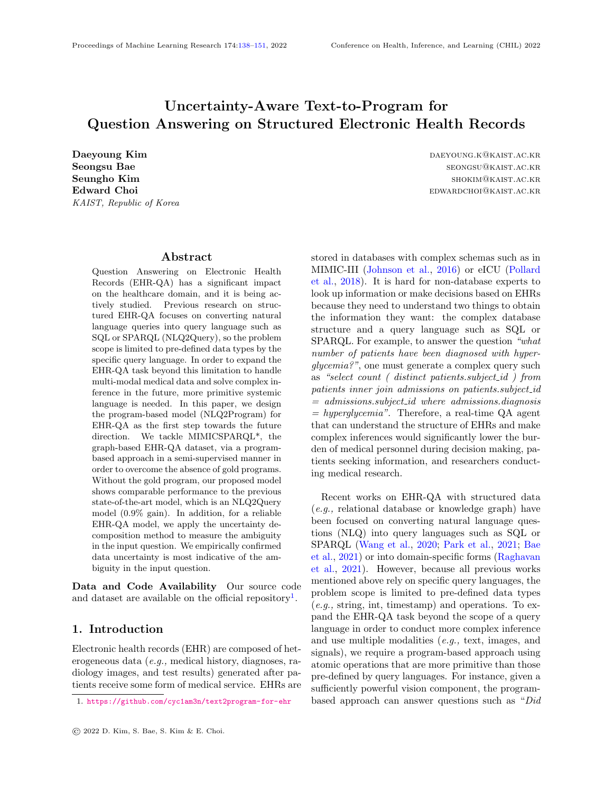# Uncertainty-Aware Text-to-Program for Question Answering on Structured Electronic Health Records

KAIST, Republic of Korea

### Abstract

<span id="page-0-0"></span>Question Answering on Electronic Health Records (EHR-QA) has a significant impact on the healthcare domain, and it is being actively studied. Previous research on structured EHR-QA focuses on converting natural language queries into query language such as SQL or SPARQL (NLQ2Query), so the problem scope is limited to pre-defined data types by the specific query language. In order to expand the EHR-QA task beyond this limitation to handle multi-modal medical data and solve complex inference in the future, more primitive systemic language is needed. In this paper, we design the program-based model (NLQ2Program) for EHR-QA as the first step towards the future direction. We tackle MIMICSPARQL\*, the graph-based EHR-QA dataset, via a programbased approach in a semi-supervised manner in order to overcome the absence of gold programs. Without the gold program, our proposed model shows comparable performance to the previous state-of-the-art model, which is an NLQ2Query model (0.9% gain). In addition, for a reliable EHR-QA model, we apply the uncertainty decomposition method to measure the ambiguity in the input question. We empirically confirmed data uncertainty is most indicative of the ambiguity in the input question.

Data and Code Availability Our source code and dataset are available on the official repository<sup>[1](#page-0-1)</sup>.

### 1. Introduction

Electronic health records (EHR) are composed of heterogeneous data (e.g., medical history, diagnoses, radiology images, and test results) generated after patients receive some form of medical service. EHRs are

Daeyoung Kim daeyoung Kim daeyoung Kim daeyoung.k@kaist.ac.kr Seongsu Bae seongsu bat sebagai bat sebagai bat seongsu@kaist.ac.kr. **Seungho Kim** shokima and shokima shokima and shokima shokima shokima shokima shokima shokima shokima shokima shokima shokima shokima shokima shokima shokima shokima shokima shokima shokima shokima shokima shokima shokima Edward Choi **Edward Choi** education entitled the extent of the education entitled the education entitled the education entitled the education entitled the education entitled the education entitled the education entitled th

> stored in databases with complex schemas such as in MIMIC-III [\(Johnson et al.,](#page-10-0) [2016\)](#page-10-0) or eICU [\(Pollard](#page-10-1) [et al.,](#page-10-1) [2018\)](#page-10-1). It is hard for non-database experts to look up information or make decisions based on EHRs because they need to understand two things to obtain the information they want: the complex database structure and a query language such as SQL or SPARQL. For example, to answer the question "what number of patients have been diagnosed with hyperglycemia?", one must generate a complex query such as "select count ( distinct patients.subject id ) from patients inner join admissions on patients.subject\_id  $=$  admissions.subject\_id where admissions.diagnosis  $= \hbar y \text{perglycemia}.$  Therefore, a real-time QA agent that can understand the structure of EHRs and make complex inferences would significantly lower the burden of medical personnel during decision making, patients seeking information, and researchers conducting medical research.

> Recent works on EHR-QA with structured data (e.g., relational database or knowledge graph) have been focused on converting natural language questions (NLQ) into query languages such as SQL or SPARQL [\(Wang et al.,](#page-11-0) [2020;](#page-11-0) [Park et al.,](#page-10-2) [2021;](#page-10-2) [Bae](#page-9-0) [et al.,](#page-9-0) [2021\)](#page-9-0) or into domain-specific forms [\(Raghavan](#page-10-3) [et al.,](#page-10-3) [2021\)](#page-10-3). However, because all previous works mentioned above rely on specific query languages, the problem scope is limited to pre-defined data types  $(e.g., \text{string, int, timestamp})$  and operations. To expand the EHR-QA task beyond the scope of a query language in order to conduct more complex inference and use multiple modalities (e.g., text, images, and signals), we require a program-based approach using atomic operations that are more primitive than those pre-defined by query languages. For instance, given a sufficiently powerful vision component, the programbased approach can answer questions such as "Did

<span id="page-0-1"></span><sup>1.</sup> <https://github.com/cyc1am3n/text2program-for-ehr>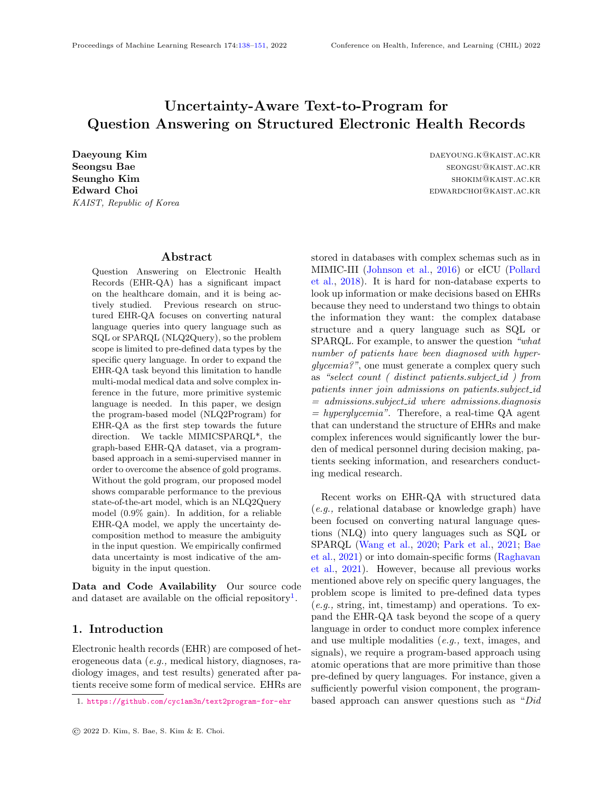this patient have effusion in the left lung before he was admitted to the ICU?".

Within the healthcare domain, the reliability of deep neural network models is crucial because incorrect decisions bring consequences such as ethical issues on human life or monetary cost [\(Dusenberry](#page-10-4) [et al.,](#page-10-4) [2020\)](#page-10-4). Likewise, EHR-QA models also need to be extremely reliable so that only correct answers are provided to the user, but the ambiguity in question due to lack of information or typos within the data make it challenging to train such reliable models. For example, if the word "procedure" is missing in the question in Figure [1,](#page-1-0) the question becomes ambiguous since "short title" could refer to either "procedure" or "diagnoses", which increases uncertainty in data. Therefore, measuring uncertainty to detect ambiguous questions helps make a reliable model, as the model can take appropriate actions such as asking the user for clarification.

For the first time, our work uses the natural language question-to-program (NLQ2Program) approach for EHR-QA. Specifically, we tackle MIMIC-SPARQL\* [\(Park et al.,](#page-10-2) [2021\)](#page-10-2), an EHR-QA dataset based on the open-source EHR data MIMIC-III. Since MIMICSPARQL\* consists of pairs of a natural language question (NLQ) and a corresponding SPARQL query, all previous studies tackled this dataset by translating NLQ to either SQL or SPARQL queries with varying degrees of success. However, as stated above, we must venture beyond using a pre-defined query language such as SQL and SPARQL in order to handle multi-modal medical data and solve complex inference tasks in the future. Therefore we tackle MIMICSPARQL\* via an NLQ2Program approach in a semi-supervised manner, in order to overcome the fact that there is no ground truth program given for each NLQ to train the model with. Our proposed model showed comparable performance to state-of-the-art NLQ2SQL or NLQ2SPARQL models that use the ground truth data. Also, we propose a method for measuring the ambiguity of input questions with insufficient information using the ensemble-based uncertainty decomposition for each program token generated by the EHR-QA model. We empirically demonstrate the effectiveness of using uncertainty decomposition to discern ambiguous questions, by evaluating MIMIC-SPARQL\*'s test questions, where each question's ambiguity was manually annotated.

The contributions we make in this paper can be summarized as follows:



<span id="page-1-0"></span>**Answer:** ["percutan aspiration gb", "ciprofloxacin iv"]

- Figure 1: An illustrative example of our NLQ2Program approach for EHR question answering: a natural language question (NLQ), corresponding program traces over a knowledge graph, and its answer.
	- It is the first attempt at designing an NLQ2Program model that uses programs composed of various atomic operations for an EHR-QA task. Without ground truth programs, we obtained results on MIMICSPARQL\*, the most recent EHR-QA dataset, comparable to the NLQ2SQL and NLQ2SPARQL SOTA models that use ground truth queries (0.9% improvement).
	- We generated a dataset to solve the problem without gold programs. We make it publicly available along with an interpreter that can execute programs so others can further research on EHR-QA using this NLQ2Program model in the future.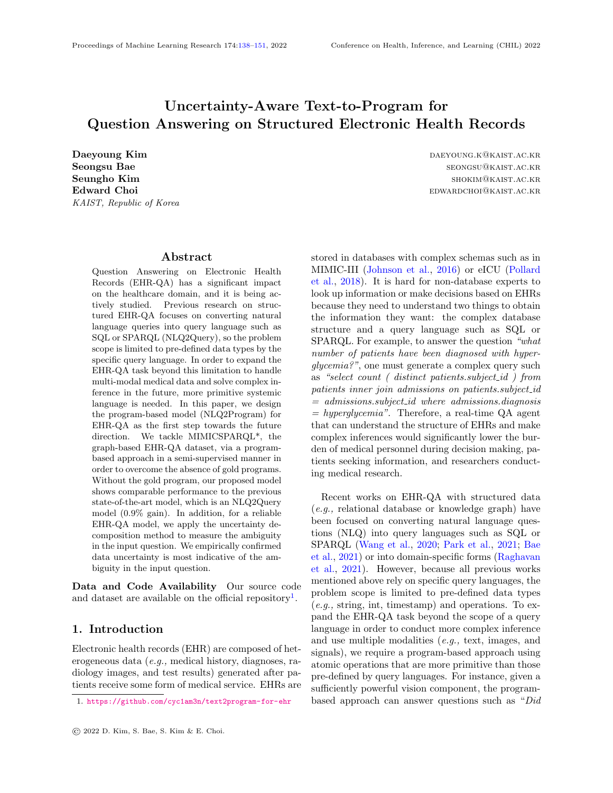• We apply the ensemble-based uncertainty decomposition method to measure the ambiguity in the input question. To our best knowledge, this is the first attempt to detect ambiguous input questions in the QA research area. We show the effectiveness of measuring ambiguity using data uncertainty.

### 2. Related Works

### 2.1. QA on Electronic Health Record

Question answering on electronic health records (EHR-QA) can be divided into two broad categories: unstructured QA and structured QA. In the former case, most works focus on the machine reading comprehension task on free-formed text such as clinical case reports [\(Suster and Daelemans,](#page-11-1) [2018\)](#page-11-1) and discharge summaries [\(Pampari et al.,](#page-10-5) [2018\)](#page-10-5). In the latter case, depending on database types of structured EHR, it can be further classified into two subcategories: table-based QA and graph-based QA. In both subcategories, EHR-QA is treated as a translation task, converting a natural language question into a query language  $(i.e., SQL/SPARQL)$  or a domain-specific logical form. [Wang et al.](#page-11-0) [\(2020\)](#page-11-0) first released MIMICSQL, a large-scale table-based EHR-QA dataset for the Question-to-SQL generation task in the healthcare domain, and also proposed a sequence-to-sequence (seq2seq) based model TREQS, which translates natural language questions to SQL queries (NLQ2SQL). [Park et al.](#page-10-2) [\(2021\)](#page-10-2) constructed a Question-to-SPARQL dataset and treated EHR-QA as a graph-based task by converting the original tables of MIMICSQL into a knowledge graph. Also, they empirically showed that NLQ2SPARQL outperforms NLQ2SQL for the same dataset and the same model architecture.

Recently, [Raghavan et al.](#page-10-3) [\(2021\)](#page-10-3) constructed a new large-scale question-logical form pair dataset (emrK-BQA) for MIMIC-III, which reuses the same logical forms proposed in emrQA [\(Pampari et al.,](#page-10-5) [2018\)](#page-10-5), but it is not currently publicly available. Moreover, in order to execute the logical forms in emrKBQA, they must be mapped to corresponding SQL queries in advance. To overcome the limitation of a query language *(i.e.*, bound by pre-defined operations and only capable of handling fixed data types), we use the NLQ2Program approach for EHR-QA where programs are composed of atomic operations. Specifically, we develop our NLQ2Program approach while viewing the EHR data as a knowledge graph rather than relational tables, similar to [Park et al.](#page-10-2) [\(2021\)](#page-10-2); [Bae et al.](#page-9-0) [\(2021\)](#page-9-0), where the graph-based approach outperformed the table-based approach.

#### <span id="page-2-0"></span>2.2. Program Based Approach for KBQA

There are recent works translating natural language questions into multi-step executable programs over Knowledge Base Question Answering (KBQA; Structured QA) [\(Liang et al.,](#page-10-6) [2017;](#page-10-6) [Saha et al.,](#page-11-2) [2019;](#page-11-2) [Hua et al.,](#page-10-7) [2020\)](#page-10-7). These studies usually tackle datasets that do not have gold programs such as CQA [\(Saha et al.,](#page-11-3) [2018\)](#page-11-3) and WebQuestionSP [\(Yih](#page-11-4) [et al.,](#page-11-4) [2015\)](#page-11-4). Specifically, Complex Question Answering (CQA) [\(Saha et al.,](#page-11-3) [2018\)](#page-11-3) is a large-scale QA dataset that contains complex questions involving multi-hop and aggregation questions (e.g., counting, intersection, comparison), which are similar to our main target dataset (i.e., MIMICSPARQL\*). To handle the absence of the gold program, previous works proposed reinforcement learning (RL) based approaches.

RL-based approaches, however, face challenges caused by the large search space and sparse rewards. In particular, these challenges are intensified in MIM-ICSPARQL\*, where KB artifacts (entities, relation, literal) are not explicitly revealed in the question. For example, for the NLQ in Figure [1,](#page-1-0) the QA model must generate a program using '/procedure icd9 code' and '/prescriptions' which were never mentioned in the NLQ. Moreover, MIMICSPARQL\*'s search space is much larger than CQA since questions typically require a longer chain of operations to complete a program. Therefore instead of using RL, we train our model in a semi-supervised manner and compare our approach with NS-CQA [\(Hua et al.,](#page-10-7) [2020\)](#page-10-7), the stateof-the-art model for CQA.

#### 2.3. Uncertainty in Language Generation

As the uncertainty in program-based EHR-QA has not been discussed before, we found the uncertainty in language generation to be the most relevant work to ours. Recent approaches focus on predictive uncertainty by measuring the probability [\(Ott et al.,](#page-10-8) [2018\)](#page-10-8) and the entropy [\(Xu et al.,](#page-11-5) [2020;](#page-11-5) [Xiao and](#page-11-6) [Wang,](#page-11-6) [2021\)](#page-11-6) of each token in the generated sequence by the model. [Xiao and Wang](#page-11-6) [\(2021\)](#page-11-6) apply the deep ensemble method [\(Lakshminarayanan](#page-10-9) [et al.,](#page-10-9) [2017\)](#page-10-9) to decompose uncertainty into data uncertainty, the intrinsic uncertainty associated with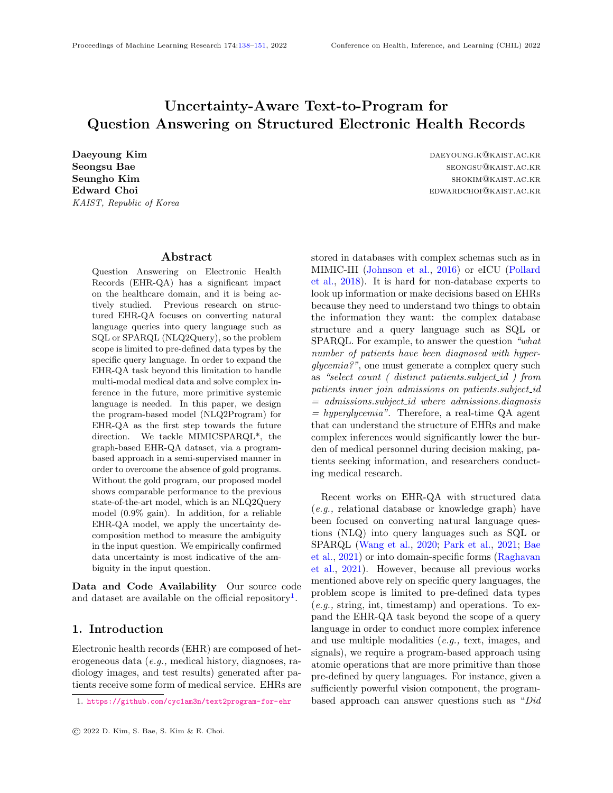data, and *model uncertainty*<sup>[2](#page-3-0)</sup>, which reflects the uncertainty in model weights [\(Der Kiureghian and](#page-10-10) [Ditlevsen,](#page-10-10) [2009;](#page-10-10) [Kendall and Gal,](#page-10-11) [2017\)](#page-10-11). These works analyze relationships between the uncertainty during decoding and the final output quality rather than analyzing the ambiguity in the input. Recently, [Malinin](#page-10-12) [and Gales](#page-10-12) [\(2020\)](#page-10-12) utilize uncertainty for error detection and out-of-domain (OOD) input detection. For the OOD input detection, they focus on model uncertainty, which can capture discrepancies between the train and test datasets. However, our interest is to deal with insufficient information in the input question, which raises data uncertainty rather than model uncertainty.

### 3. Methodology

#### 3.1. Preliminary: Dataset

In this work, we use a knowledge graph (KG) and questions from MIMICSPARQL\* [\(Park et al.,](#page-10-2) [2021\)](#page-10-2) consisting of 10,000 question-SPARQL pairs that cover 9 tables<sup>[3](#page-3-1)</sup> of MIMIC-III [\(Johnson et al.,](#page-10-0) [2016\)](#page-10-0), an open-source ICU dataset. Note that MIM-ICSPARQL\* was derived from MIMICSQL [\(Wang](#page-11-0) [et al.,](#page-11-0) [2020\)](#page-11-0), a table-based EHR-QA dataset for MIMIC-III, consisting of 10,000 question-SQL pairs. In other words, MIMICSPARQL\* has the same question as MIMICSQL, but the ground truth queries and database format are different. Also, note that each question in MIMICSPARQL\* has two forms: template-based (machine-generated) form and natural (rephrased by medical domain experts) form.

#### <span id="page-3-2"></span>3.2. Grammar

We newly define a grammar that can effectively explore the KG of MIMICSPARQL\*. Since these are atomic operations that can be executed within KG, it is easy to handle multi-modality by expanding the grammar in the future. This uses a total of 7 data types which are either KG artifacts or basic data types. KG artifacts consist of *entSet* (set of entities), rel (relation), lit (literal), lit $Set$  (set of literals), lit-Sets (tuple of *litSets*), and basic data types consist of int and float. Table [1](#page-4-0) and Figure [2](#page-4-1) describe the 14 operations we defined and their example. We consider

[Saha et al.](#page-11-2) [\(2019\)](#page-11-2)'s work as our starting point, but we modify the set of operations to make them more suitable for complex EHR-QA. For example, we add operations such as maximum litset, minimum litset, and average litset since EHR-QA often requires calculations using numeric data found in the KG.

### 3.3. Problem Formulation

Our goal is to translate an EHR-related question into an executable program over KG. Assume an underlying programming language  $\angle$ . Let us denote a given question by a sequence of tokens  $Q = fx_1, ..., x_{iQ}$ and the corresponding program  $P$  2 L can be represented as  $P = fy_1, ..., y_{iP}$  G. Our model aims to maximize the conditional probability  $p(P/Q)$ . Note that each question in MIMICSPARQL\* has two forms, which are template-based (machine-generated) form and natural (rephrased by medical domain experts) form. We define the former as  $Q_T = fx_1, ..., x_{jQ_T}$ and the latter as  $Q_N = fx_1^{\theta}, ..., x_{jQ_Nj}^{\theta}$ .

#### <span id="page-3-3"></span>3.4. Synthetic Question-Program Generation

Since our method uses a custom set of operations (as described in Section [3.2\)](#page-3-2), so our main obstacle to using NLQ2Program is the absence of gold programs  $(i.e., sequences of operations)$  for questions in MIM-ICSPARQL\*. We indirectly handle this problem by mass-generating pairs of MIMICSPARQL\*-like questions and their corresponding programs. Based on our preliminary analysis of the template-based questions in the MIMICSPARQL\* train dataset, we first create a list of templates (e.g., what is the RELA-TION of ENTITY?) and question types  $(e.g., re$ trieve question). Our analysis revealed that MIM-ICSPARQL\* questions could be divided into total eight categories of question types. Then we generate synthetic question  $Q_{syn}$  and the corresponding program  $P_{syn}$  pairs in a form similar to  $Q_T$ . We sample program  $P_{syn}$  and corresponding question  $Q_{syn}$  by exploring KG while executing custom-defined operations for each of the eight question types. Since KG schema of MIMICSPARQL\* is complex, even if the same question type is given, the pattern of generated synthetic program sequence varies greatly depending on the required KG artifact (i.e., relation, entity). Using this method, we generate 30,000  $(Q_{syn}, P_{syn})$ pairs for each type, and a total of 168,574 pairs are used after excluding duplicate questions or ones that already exist in MIMICSPARQL\*. Note that, it

<span id="page-3-0"></span><sup>2.</sup> Data and model uncertainty are also called aleatoric and epistemic uncertainty.

<span id="page-3-1"></span><sup>3.</sup> Patients, Admissions, Diagnoses, Prescriptions, Procedures, Lab Results, Diagnosis Code Dictionary, Procedure Code Dictionary, Lab Code Dictionary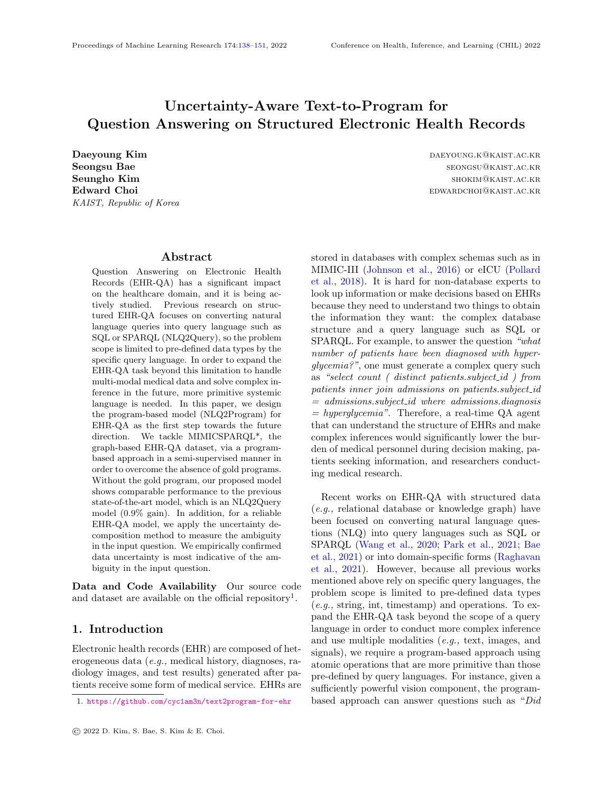

Figure 2: Illustrative examples of the natural language question (NLQ) and the corresponding program, composed of several predefined operations. To answer a single natural language question, we have to execute a series of atomic operations in sequence.

|  | Table 1: Description of the custom-defined operations and return data types |  |  |  |
|--|-----------------------------------------------------------------------------|--|--|--|
|  |                                                                             |  |  |  |

<span id="page-4-0"></span>

| Operation                                    | Description                                                                                          | Return Data Type |
|----------------------------------------------|------------------------------------------------------------------------------------------------------|------------------|
| gen_entset_down( $entSet$ , rel)             | the set of <b>object</b> entities associated with relation rel for each subject entity in the entSet | entSet           |
| gen_entset_up(rel, entSet)                   | the set of <b>subject</b> entities associated with relation rel for each object entity in the entSet | entSet           |
| $gen\_listset(entSet, rel)$                  | the set of literal values associated with the relation rel for each subject entity of entSet         | litSet           |
| gen_entset_equal( $rel$ , $lit$ )            | the set of subject entities which have literal value <b>equal to</b> lit for relation rel            | entSet           |
| gen_entset_atleast( $rel$ , $lit$ )          | the set of subject entities which have literal value of at least lit for relation rel                | entSet           |
| gen_entset_atmost( $rel$ , $lit$ )           | the set of subject entities which have literal value of at most <i>lit</i> for relation rel          | entSet           |
| gen_entset_less( $rel$ , $lit$ )             | the set of subject entities which have <b>smaller</b> literal value than <i>lit</i> for relation rel | entSet           |
| gen_entset_more $rel, lit)$                  | the set of subject entities which have <b>greater</b> literal value than <i>lit</i> for relation rel | entSet           |
| $count{\_}entset(entSet)$                    | the number of entities in entSet                                                                     | int              |
| intersect_entsets( $entSet_1$ , $entSet_2$ ) | the set of entities that <b>exist in common</b> in entSet <sub>1</sub> and entSet <sub>2</sub>       | entSet           |
| $maximum\_listed(litSet)$                    | the <b>largest</b> value in litSet                                                                   | float            |
| $minimum\_litset(litSet)$                    | the smallest value in litSet                                                                         | float            |
| $average\_litset(litSet)$                    | the average value of litSet                                                                          | float            |
| concat_litsets( $litSet_1$ , $litSet_2$ )    | the <b>combined</b> list of <i>litSet</i> and <i>litSet</i>                                          | litSets          |

might be tempting to create gold programs by directly parsing the preexisting template questions  $Q_T$ , instead of creating synthetic questions and programs. This approach, however, has two major drawbacks: 1) it is complex; 2) Fragile to KG schema change. Further details about the synthetic data generation process are presented in the Appendix [A.](#page-12-0) Note that there are a good number of questions unlikely to be asked in the real-world setting, because values are sampled by randomly exploring the KG  $(e.g., how$ many patients whose language is engl and lab test value is  $4.7k/ul$ ?).

#### <span id="page-4-1"></span>3.5. Semi-supervised Learning

Obtaining NLQ & pseudo-gold program pairs To acquire the pseudo-gold program  $\tilde{P}$  for the corresponding natural language question  $Q_N$  of MIMIC-SPARQL\*, we introduce the following process:

- 1. Train a supplementary sequence-to-sequence model  $f_{syn}: Q_{syn} \not\subseteq P_{syn}$  using synthetic pairs (*i.e.*, question and program  $(Q_{syn}, P_{syn})$ ).
- 2. Generate pseudo-gold programs  $\tilde{P}$  by feeding  $Q_T$ to the trained model  $f_{syn}$  in order to obtain corresponding  $(Q_T, \tilde{P})$  pairs. Here,  $Q_T$  is used instead of  $Q_N$  since  $Q_{syn}$  and  $Q_T$  are based on the same templates.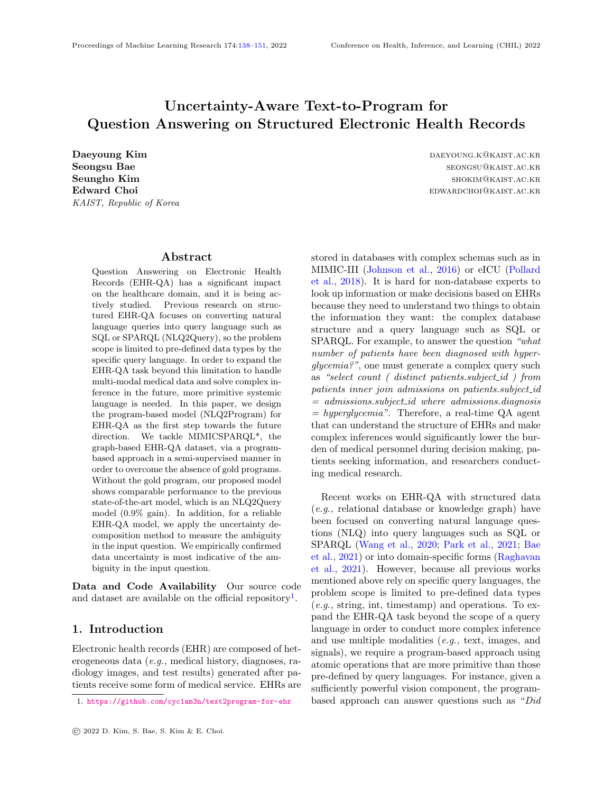3. Replace  $Q_T$  with  $Q_N$  to obtain pairs of natural- data and model uncertainty as follows: form questions and their corresponding pseudogold programs  $(Q_N, \tilde{P})$ .

**Training** Train a sequence-to-sequence model  $f_N$ :  $Q_N \nightharpoondown P$  with pairs of natural language question  $Q_N$ and pseudo-gold program  $\tilde{P}$ . Note that the synthetic pairs  $(Q_{syn}, P_{syn})$  are not used for training  $f_N$ , and further experiments using synthetic pairs as pretraining data are shown in Appendix [C.](#page-12-1)

#### <span id="page-5-0"></span>3.6. Measuring Ambiguity of Question

As mentioned above, we can use uncertainty in the output program to detect ambiguous questions that lack essential information (e.g., a user does not define the patient ID when asking for a patient's age) or include unseen values (e.g., typos). Typically, uncertainty can be divided into data uncertainty and model uncertainty, where the former can be viewed as uncertainty measuring the noise inherent in given training data, and the latter as uncertainty regarding noise in the deep neural network parameters [\(Chang](#page-9-1) [et al.,](#page-9-1) [2020;](#page-9-1) [Dusenberry et al.,](#page-10-4) [2020\)](#page-10-4). Assuming that we can view ambiguous questions as inherent noise in the data (which the model cannot overcome by collecting more data, unlike model uncertainty), we aim to detect ambiguous input by measuring data uncertainty. Following [Xiao and Wang](#page-11-6) [\(2021\)](#page-11-6); [Ma](#page-10-12)[linin and Gales](#page-10-12) [\(2020\)](#page-10-12), we adopt the ensemble-based uncertainty estimation method.

Given the question  $Q = fx_1, ..., x_{jQj}g$  and the corresponding program  $P$  2  $L$ , we denote the context of the *i*-th program token  $y_i$ as  $c_i = f x_1, ..., x_{i} Q_i, y_1, ..., y_{i-1} g$ , the prediction of each model in the ensemble of M models as  $fp_m(y_i)c_i)g_{m=1}^M$ , and the aggregated prediction as  $p(y_i/c_i) = \frac{1}{M} \sum_{m=1}^{M} p_m(y_i/c_i)$ . Given context  $c_i$ , the entropy of  $p_m(y_i/c_i)$  and  $p(y_i/c_i)$  can be calculated as follows:

$$
H_m(y_i/c_i) = \sum_{v \ge V} p_m(y_i = v/c_i) \log p_m(y_i = v/c_i)
$$

$$
H(y_i/c_i) = \sum_{v \ge V} p(y_i = v/c_i) \log p(y_i = v/c_i)
$$

where  $\vee$  is the whole vocabulary.  $H(y_i/c_i)$  represents the total uncertainty which is sum of data and model uncertainty. Then we can decompose  $H(y_i/c_i)$  into

$$
u_{\text{data}}(y_i/c_i) = \frac{1}{M} \sum_{m=1}^{M} H_m(y_i/c_i)
$$

$$
u_{\text{model}}(y_i/c_i) = H(y_i/c_i) \quad u_{\text{data}}(y_i/c_i)
$$

We assume the ambiguity of NLQ will raise the data uncertainty of a specific program token, not the entire program itself. Note that  $u_{data}(y_i/c_i)$  is calculated for every program token  $y_i$ . We utilize the maximum value of the data uncertainty  $u_{data}(y_i/c_i)$  for every program token  $y_i$ , instead of aggregating the  $u_{data}(y_i/c_i)$  in a program-level manner [\(Malinin and](#page-10-12) [Gales,](#page-10-12) [2020\)](#page-10-12). Specifically, we determine if the input question is ambiguous using detector  $g$  as follows:

$$
g(\mathbf{U};\tau) = \begin{cases} 0 & \text{if } \max(\mathbf{U}) & \tau \\ 1 & \text{if } \max(\mathbf{U}) > \tau \end{cases}
$$

where  $\mathbf{U} = f u_{\text{data}}(y_1/c_1), ..., u_{\text{data}}(y_{jPj}/c_{jPj})g$  and specific threshold  $\tau$ . We empirically show that this method can effectively detect ambiguous input questions.

#### 4. Experiments

### 4.1. Experiment Settings

#### 4.1.1. Model Configurations

Both the pseudo-gold program generating model  $f_{syn}$ and the NLQ2Program model  $f_N$  can be initialized with any sequence-to-sequence structure. We choose T5-base [\(Raffel et al.,](#page-10-13) [2020\)](#page-10-13), which is known to perform well in the natural language generation (NLG) field, for both models. For comparison, we also experiment with UniQA [\(Bae et al.,](#page-9-0) [2021\)](#page-9-0), the state-ofthe-art model in the MIMICSPARQL\* dataset. For the decoding strategy to generate program traces, we use beam search [\(Wiseman and Rush,](#page-11-7) [2016\)](#page-11-7). Of the 8,000 samples from the MIMICSPARQL\* training dataset, a total of 7,472  $(Q_N, P)$  pairs that return the same execution result as the ground truth SPARQL query are used. For an accurate evaluation, we use 949 of 1,000 samples from the MIMICSPARQL\* test dataset after excluding samples whose ground truth SPARQL execution returns NULL, or whose questions and SPARQL queries do not match (e.g., the question adds the condition "less than 60 years of age" while the ground truth query looks for "DE- $MOGRAPHIC.AGE < 62$ ").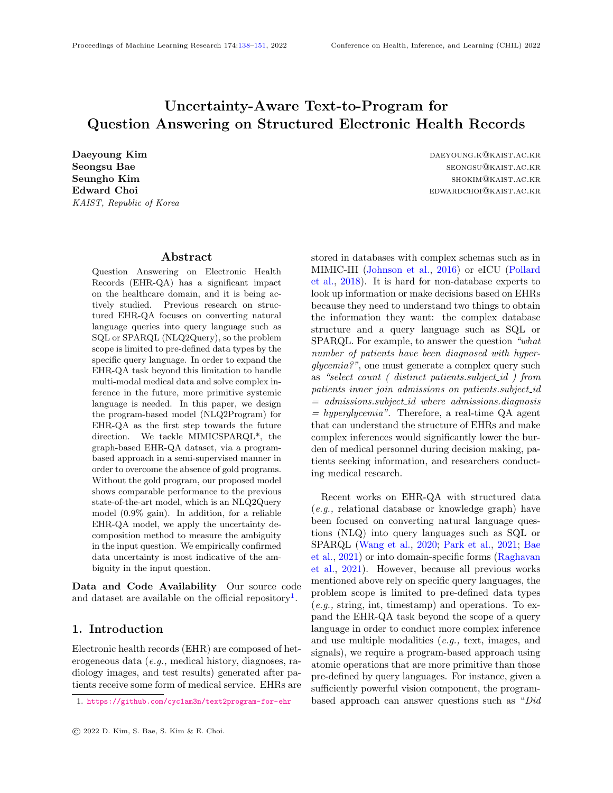<span id="page-6-0"></span>Table 2: Test results on MIMICSPARQL\* with two different approaches: NLQ2SPARQL and NLQ2Program. We report the mean and standard deviation of execution accuracy  $(Acc_{EX})$  over 5 random seeds.

| Recovery  |              | $NLQ2SPARQL$ (w/ ground truth query) |                |              |              | NLQ2Program (w/o gold program) |              |              |  |
|-----------|--------------|--------------------------------------|----------------|--------------|--------------|--------------------------------|--------------|--------------|--|
| Technique | Seq2Seq      | TREOS                                | $_{\rm UniOA}$ | T5           | $NS-CQA(1%)$ | NS-CQA (100%)                  | Ours (UniQA) | Ours $(T5)$  |  |
|           | 0.327(0.043) | 0.699(0.013)                         | 0.899(0.010)   | 0.905(0.006) | 0.203(0.043) | 0.734(0.087)                   | 0.896(0.009) | 0.899(0.005) |  |
|           | 0.338(0.045) | 0.712(0.011)                         | 0.939(0.005)   | 0.937(0.006) |              | $\overline{\phantom{a}}$       | 0.938(0.006) | 0.948(0.006) |  |

### 4.1.2. Baselines

In the experiment, we compare our model against five baseline models as follows: Seq2Seq [\(Luong et al.,](#page-10-14) [2015\)](#page-10-14), TREQS [\(Wang et al.,](#page-11-0) [2020\)](#page-11-0), UniQA [\(Bae](#page-9-0) [et al.,](#page-9-0) [2021\)](#page-9-0), T5 [\(Raffel et al.,](#page-10-13) [2020\)](#page-10-13) and NS-CQA [\(Hua et al.,](#page-10-7) [2020\)](#page-10-7). The first four are NLQ2SPARQL models using ground truth SPARQL queries, and the last is an NLQ2Program model which does not use gold programs. Note that the T5 and UniQA models used as baselines adopt the NLQ2SPARQL approach, not NLQ2Program. Among the previous program-based approaches mentioned in Section [2.2,](#page-2-0) we choose NS-CQA as the baseline since it is the state-of-the-art model in the CQA [\(Saha et al.,](#page-11-3) [2018\)](#page-11-3) dataset. All models are trained with five random seeds, and we report the mean and standard deviation of performance. The details of implementation are provided in Appendix [B.](#page-12-2)

#### Seq2Seq with Attention (NLQ2SPARQL)

Seq2Seq with attention [\(Luong et al.,](#page-10-14) [2015\)](#page-10-14) consists of a bidirectional LSTM encoder and an LSTM decoder. Following the original paper, we apply the attention mechanism in this model. Note that this model cannot handle the out-of-vocabulary (OOV) tokens. We denote the model as Seq2Seq.

### TREQS (NLQ2SPARQL)

TREQS [\(Wang et al.,](#page-11-0) [2020\)](#page-11-0) is an LSTM-based encoder-to-decoder model using an attentive-copying mechanism and a recovery technique to handle the OOV problem.

### UniQA (NLQ2SPARQL)

UniQA [\(Bae et al.,](#page-9-0) [2021\)](#page-9-0) is the state-of-the-art NLQ2Query model on MIMICSPARQL\*. UniQA consists of a unified encoder-as-decoder architecture, which uses masked language modeling in the NLQ part and sequence-to-sequence modeling in the query part at the same time. Following the original paper, we initialize UniQA with pre-trained BERT (12-layer, 768-hidden, 12-head) [\(Devlin et al.,](#page-10-15) [2018\)](#page-10-15).

### T5 (NLQ2SPARQL)

T5 [\(Raffel et al.,](#page-10-13) [2020\)](#page-10-13) is a transformer-based encoder-to-decoder model which is pre-trained on a large corpus to convert every language problem into a text-to-text format. We use T5-base model (12-layer, 768-hidden, 12-head) as mentioned above.

#### NS-CQA (NLQ2Program)

NS-CQA [\(Hua et al.,](#page-10-7) [2020\)](#page-10-7) is an LSTM-based encoder-to-decoder RL framework that obtains stateof-the-art performance on the CQA dataset. It uses the copy mechanism and a masking method to reduce search space. A memory buffer, which stores promising trials for calculating a bonus reward, is used to alleviate the sparse reward problem. The model needs to be pre-trained by teacher forcing with pseudo-gold programs in order to mitigate the cold start problem. We pre-train the model with two different data settings to study the effectiveness of the RL approach with restricted semi-supervision: (1) pre-train using all  $(Q_N, P)$  pairs, and (2) pre-train using only 1% of all  $(Q_N, P)$  pairs (the same setting as [\(Hua et al.,](#page-10-7) [2020\)](#page-10-7)). We then fine-tune the model by employing RL using all of the  $Q_N$  and execution results of gold SPARQL query pairs.

#### 4.1.3. Evaluation Metric

For comparing various models, three metrics are used in previous studies [\(Wang et al.,](#page-11-0) [2020;](#page-11-0) [Park et al.,](#page-10-2) [2021;](#page-10-2) [Bae et al.,](#page-9-0) [2021\)](#page-9-0), which are Logical Form Accuracy  $(Acc_{LF})$ , Execution Accuracy  $(Acc_{EX})$ , and Structural Accuracy ( $Acc_{ST}$ ), to evaluate the generated queries (*i.e.*, SQL, SPARQL). However,  $Acc_{LF}$ and  $Acc_{ST}$  require gold programs since they compare the generated queries with the ground truth queries token by token. Therefore, we only use Execution Accuracy  $(Acc_{EX})$ , which measures the correctness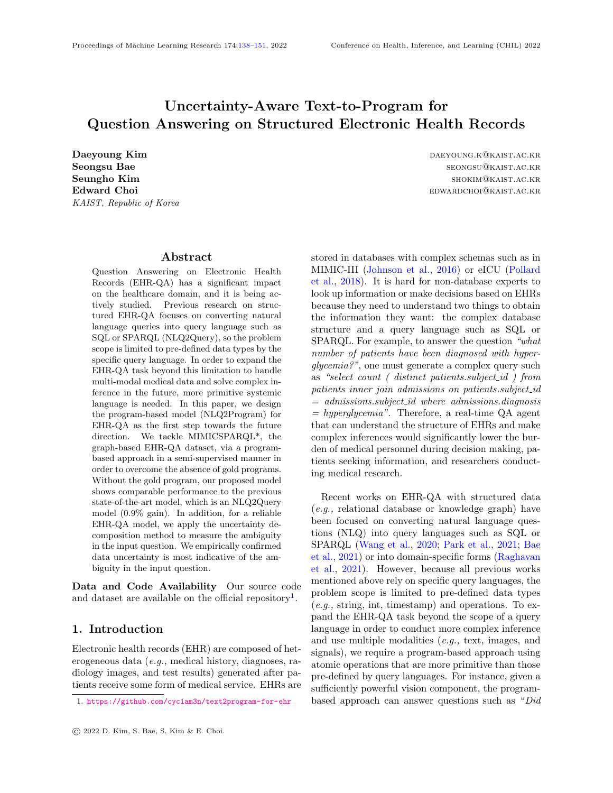of the answer retrieved by executing the generated program with the  $KG<sup>4</sup>$  $KG<sup>4</sup>$  $KG<sup>4</sup>$ .

#### 4.1.4. Recovering Condition Values

Following [Wang et al.](#page-11-0) [\(2020\)](#page-11-0), we apply the recovery technique to handle inaccurately generated condition values that often contain complex medical terminology. This technique replaces the condition values in the generated program with the most similar values that exist in the database. For instance, the user may ask "how many patients had physical restrain status?", then one operation in the generated program could be "gen\_entset\_equal('/diagnoses\_long\_title', 'physical restrain status')". However, in the database, the value 'physical restraints status' exists, but 'physical restrain status' does not. In that case, the recovery technique replaces the incorrect condition value of the program to the correct one, thus making it executable. In order to calculate the similarity between predicted values and existing ones, this technique uses ROUGE-L [\(Lin,](#page-10-16) [2004\)](#page-10-16) score.

#### 4.2. Experiment Result

As shown in Table [2,](#page-6-0) despite the absence of gold programs, our NLQ2Program model is comparable with state-of-the-art NLQ2SPARQL models that require ground truth query data. Also, we show that using NS-CQA's semi-supervised RL-based approach on MIMICSPARQL\* is not effective when using only 1% of the question and pseudo-gold program pairs for pre-training.

Note that the recovery technique is unnecessary for NS-CQA because, due to the decoding nature of NS-CQA, all KB artifacts (entity, relation, value) are copy-pasted from the NLQ to their appropriate locations after the program is generated.

Additionally, we conducted experiments regarding the effect of using the synthetic data introduced in Section [3.4,](#page-3-3) as pre-training data. The detailed information is shown in Appendix [C.](#page-12-1)

#### 4.3. Ambiguous Question Detection

In order to validate our method of measuring ambiguity using data uncertainty, we hand-annotated all MIMICSPARQL\* test samples with the following labels. According to the degree of ambiguity, we categorized the ambiguous questions into two types: (1)

mildly ambiguous (Mild) and (2) highly ambiguous (High). There are a total of 152 questions labeled as mildly ambiguous and 72 questions as highly ambiguous. The rules of ambiguous question labeling are defined as follows:

• Mildly Ambiguous (Mild): We treat questions whose relations are not explicitly revealed in the NLQ, so it is hard to infer even with the condition value as mildly ambiguous questions. For instance, it is challenging to know whether the relation to "pneumococcal pneumonia" is a  $/diagnoses\_long\_title$  or a  $/diagnoses\_short\_title$ for the question "provide the number of patients less than 83 years of age who were diagnosed with pneumococcal pneumonia.". However, if there is an ideal linker connected to the DB, the ideal linker knows that "pneumococcal pneumo $nia''$  refers to a *short\_title*. For this reason, we label these questions as mildly ambiguous.

In addition, typos in the questions are unseen values for the EHR-QA model that also cause ambiguity, so questions with typos are also labeled as mildly ambiguous (e.g., what is the number of  $dead$ !  $\theta$  cead patients who had brain mass; intracranial hemorrhage?).

• Highly Ambiguous (High): We consider a question as highly ambiguous when its NLQ is too vague that multiple correct programs can be generated. For the question "specify primary disease and icd9 code of patient id  $18480"$ , "icd9 code" could refer to either "procedure" or "diagnosis".

In addition, if the condition value in an NLQ corresponds to more than one relation, that NLQ is labeled as highly ambiguous. Note that even an ideal linker cannot find the exact relation of highly ambiguous questions. For example, the question "give the number of newborns who were born before the year 2168." is highly ambiguous since the condition value "newborn" is related to both "/admission type" and "/diagnosis".

We assess the detection capabilities of ambiguous questions based on data uncertainty  $u_{data}$ , model uncertainty  $u_{\text{model}}$ , total uncertainty H, and entropy  $H_m$ . These types of uncertainty are calculated from all tokens in a single program sequence and we use the maximum value as the degree of uncertainty. Note that  $u_{data}$ ,  $u_{model}$ , and H are calculated via ensemble model consisting of 5 models, but  $H_m$  is calcu-

<span id="page-7-0"></span><sup>4.</sup> This is why we excluded test samples whose answers are NULL, to minimize lucky guesses.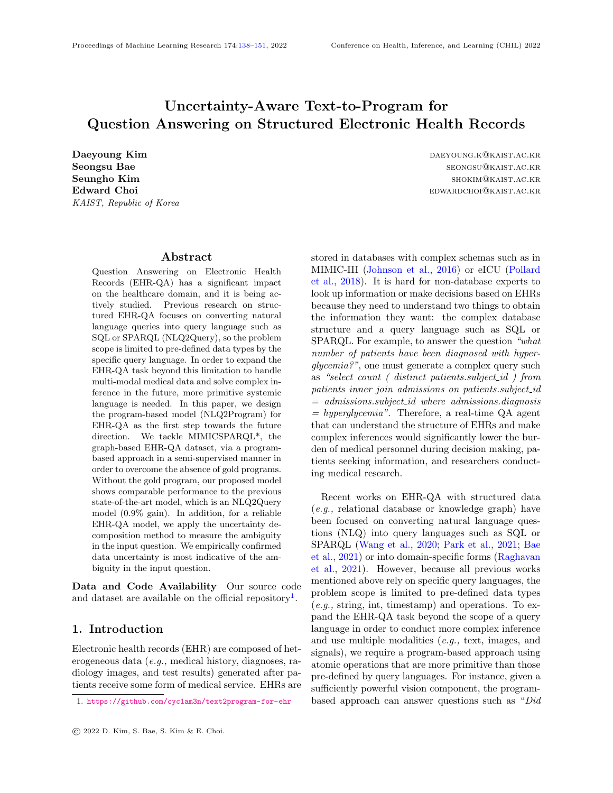<span id="page-8-0"></span>Table 3: Uncertainty results on MIMICSPARQL\* with two ambiguity degrees: Mild & High and High. We report AUPRC and AUROC for four types of uncertainty:  $u_{data}$ ,  $u_{model}$ , H, and  $H_m$ . Note that  $u_{data}$ ,  $u_{model}$ , and H are calculated by the ensemble model consisting of 5 models, but  $H_m$  is calculated by a single model. In case of  $H_m$ , we report the mean and standard deviation over 5 random seeds.

| Ambiguity   | $u_{\text{data}}$ | $u_{\text{model}}$ | Н     | $H_m$ |             |
|-------------|-------------------|--------------------|-------|-------|-------------|
| Mild & High | AUPRC             | $\,0.417\,$        | 0.340 | 0.387 | 0.375(0.02) |
|             | <b>AUROC</b>      | 0.705              | 0.630 | 0.631 | 0.650(0.02) |
| High        | AUPRC-            | $\,0.173\,$        | 0.117 | 0.153 | 0.153(0.01) |
|             | <b>AUROC</b>      | 0.696              | 0.614 | 0.650 | 0.651(0.01) |

lated by a single model. Performance is assessed via the area under a Precision-Recall (PR) curve and a receiver operating characteristic (ROC) curve. The results in Table [3](#page-8-0) show that using only data uncertainty detects ambiguous questions better than other metrics. However, ambiguous questions cannot be perfectly detected because ambiguous questions are also included in the training data, and we only labeled ambiguous questions in the test samples. Additionally, we compare the token-level and program-level methods of measuring uncertainty. The results show the advantage of the token-level method. Details of this experiment are available in Appendix [D.](#page-12-3)

To implement a more practical QA system, an interface is required to interact with the user, asking clarifying questions or allowing the user to modify the generated program. Solving these issues, however, is beyond the scope of this work. Instead, we build the system that gives users all five best beam hypotheses (i.e., programs) so users can select the appropriate candidate program when the ambiguity of the input question exceeds the specified threshold. The results in Figure [3](#page-8-1) show that the execution accuracy increases up to 0.986 with the number of recommendations.

### <span id="page-8-2"></span>4.4. Qualitative Results

In this section, we provide qualitative results to analyze generated programs along with token-level data uncertainty.



<span id="page-8-1"></span>Figure 3: Test results of MIMICSPARQL\* for five single models and an ensemble model. For the ensemble model, all tokens are generated by aggregating the prediction of all single models. The upper part of the shaded area presents the maximum execution accuracy of a single model, and the lower part shows minimum accuracy.

### 4.4.1. Generated Programs for Ambiguous **QUESTIONS**

As we expect, if the input question is ambiguous, high data uncertainty is measured. The question in the first example in Figure [4](#page-9-2) corresponds to a highly ambiguous question since whether the relation is either 'long\_title' or 'short\_title' is not specified. It leads to the high uncertainty of the token 's' whose data uncertainty is almost 100 times larger than the average data uncertainty of other tokens. Note that if the model generates 'long\_title' rather than 'short\_title', the execution result is incorrect but the program is semantically aligned with the question. Likewise, in the second example, the question corresponds to a mildly ambiguous question since the 'icd9 code 9229' exists only in the 'procedures.' However, it is hard to recognize this fact for the model, which does not have an ideal linker, so the data uncertainty is increased at the position of the token 'pro.' These examples also demonstrate the max value of token-level uncertainty is an effective representative of the ambiguity.

#### 4.4.2. Failure Cases

There are some failure cases with high data uncertainty, but the NLQ is not ambiguous. In the first example of Figure [5,](#page-9-3) the token with the highest data uncertainty is "gen\_entset\_down,", an incorrect operation that must be changed to "gen\_litset." Simi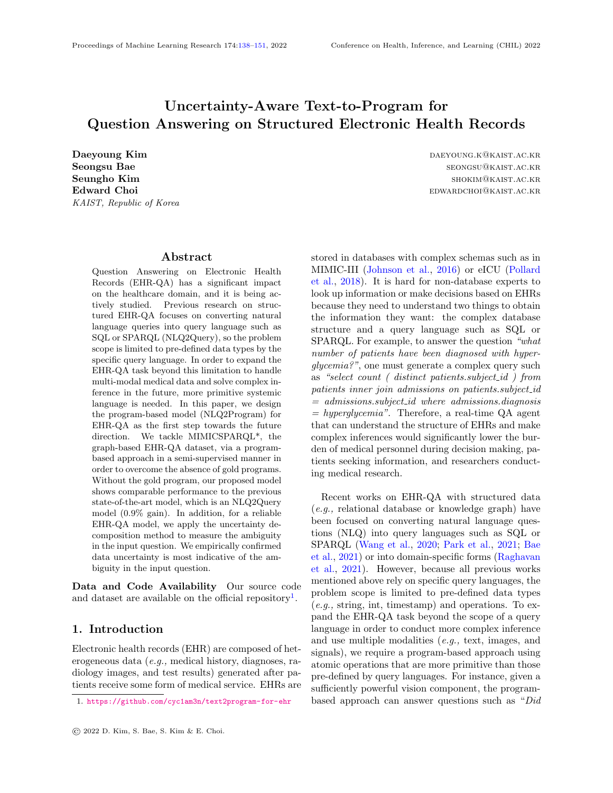0.0e+00 6.6e-02 1.3e-01 2.0e-01 2.6e-01 3.3e-01 4.0e-01 4.6e-01 5.3e-01 5.9e-01 **NLQ:** how many of the patients with icd9 code 9229 were discharged for long term care hospital? **Execution Result:** Correct / **Ambiguity:** Mildly Ambiguous **Candidate Tokens and Probabilities:** [pro(0.5750), diag(0.4250), cer(0.0000), Pro(0.0000), code(0.0000)] **Maximum Uncertainty:** 0.4509 / **Average Uncertainty of All Tokens:** 0.0038 0.0e+00 6.6e-02 1.3e-01 2.0e-01 2.6e-01 3.3e-01 4.0e-01 4.6e-01 5.3e-01 5.9e-01 **NLQ:** give the primary disease and diagnosis of subject id 85673. **Execution Result:** Correct / **Ambiguity:** Highly Ambiguous **Candidate Tokens and Probabilities:** [s(0.7838), long(0.2161), d(0.0000), hay(0.0000), and(0.0000)] **Maximum Uncertainty:** 0.5226 / **Average Uncertainty of All Tokens:** 0.0057 **Program:** <r1>=gen\_entset\_down('/subject\_id/85673','/hadm\_id')<exe> <r2>=gen\_litset(<r1> ,'/diagnosis')<exe> <r3>=gen\_entset\_down(<r1> ,'/diagnoses')<exe> <r4>=gen\_entset\_down(<r3> ,'/diagnoses\_icd9\_code')<exe> <r5>=gen\_litset(<r4> ,'/diagnoses\_short\_title')<exe> <r6>=concat\_litsets(<r2> ,<r5> )<exe>

**Program:** <r1>=gen\_entset\_equal('/discharge\_location','long term care hospital')<exe> <r2>=gen\_entset\_up('/hadm\_id',<r1> )<exe> <r3>=gen\_entset\_equal('/procedures\_icd9\_code','/procedures\_icd9\_code/9229')<exe> <r4>=gen\_entset\_up('/procedures',<r3> )<exe> <r5>=gen\_entset\_up('/hadm\_id',<r4> )<exe> <r6>=intersect\_entsets(<r2> ,<r5> )<exe>  $\langle \text{d}7 \rangle = \text{count\_entset}(\langle \text{rf} \rangle) \langle \text{exe} \rangle$ 

<span id="page-9-2"></span>Figure 4: Qualitative results for ambiguous question. We visualize token-level data uncertainties of the generated program using the heatmap.

0.0e+00 6.6e-02 1.3e-01 2.0e-01 2.6e-01 3.3e-01 4.0e-01 4.6e-01 5.3e-01 5.9e-01 **NLQ:** for patient id 2560, specify gender and item id. **Execution Result:** Incorrect / **Ambiguity:** None **Candidate Tokens and Probabilities:** [gen\_entset\_down(0.8285), gen\_litset(0.1686), minimum\_litset(0.0003), average\_litset(0.0002), gen\_entset\_more(0.0002)] **Maximum Uncertainty:** 0.3147 / **Average Uncertainty of All Tokens:** 0.0045 **Program:** <r1>=gen\_litset('/subject\_id/2560','/gender')<exe> <r2>=gen\_entset\_down('/subject\_id/2560','/hadm\_id')<exe> <r3>=gen\_entset\_down(<r2> ,'/lab')<exe> <r4>=gen\_entset\_down(<r3> ,'/itemid')<exe> <r5>=concat\_litsets(<r1> ,<r4> )<exe>

0.0e+00 6.6e-02 1.3e-01 2.0e-01 2.6e-01 3.3e-01 4.0e-01 4.6e-01 5.3e-01 5.9e-01 **NLQ:** specify the age of patient id 2560 and drug name he was treated with **Execution Result:** Incorrect / **Ambiguity:** None **Candidate Tokens and Probabilities:** [formular(0.8865), d(0.1135), l(0.0000), g(0.0000), ▁drug(0.0000)] **Maximum Uncertainty:** 0.2177 / **Average Uncertainty of All Tokens:** 0.0035 **Program:** <r1>=gen\_entset\_down('/subject\_id/2560','/hadm\_id')<exe>  $\mbox{{\sc {\small <}}r2\mbox{{\small >}}=gen\_listset}(\mbox{{\small }}$  ,<br>'/age') $\mbox{{\small <}}ex\mbox{{\small <}}$ <r3>=gen\_entset\_down(<r1> ,'/prescriptions')<exe>  $\langle \text{rd} \rangle = \text{gen\_lister}(\langle \text{rd} \rangle, \langle \text{formulary\_drug\_cd'} \rangle \langle \text{exec} \rangle)$ <r5>=concat\_litsets(<r2> ,<r4> )<exe>

### <span id="page-9-3"></span>Figure 5: Qualitative results for failure cases. We visualize token-level data uncertainties of the generated program using the heatmap.

larly, in the second example, the token with the highest data uncertainty is "formular,", a subset of relation "/formulary\_drug\_cd" (drug code), which should be changed to "/ $drug$ " (drug name). It can be seen that the data uncertainty does not always represent the ambiguity of the question. However, when the model generates uncertain tokens, interaction with the user can still help improve the performance and reliability of the EHR-QA model. Uncertainty in NLQ2Program is just the beginning, so more research is needed.

### 5. Conclusion

In this work, we designed an NLQ2Program methodology using atomic operations for EHR-QA task on MIMICSPARQL\*. We tackled the absence of gold programs via NLQ2Program approach in a semi-supervised manner. Our proposed model showed comparable performance with the previous NLQ2SPARQL state-of-the-art model. Moreover, we applied the ensemble-based uncertainty decomposition method to detect the ambiguous input question. We showed the effectiveness of measuring ambiguity using data uncertainty. Our further direction is to extend our methodology to handle multi-modal data on EHR and solve more complex questions.

### Institutional Review Board (IRB)

This research does not require IRB approval.

### Acknowledgments

This work was supported by Institute of Information & Communications Technology Planning & Evaluation (IITP) grant (No.2019-0-00075, Artificial Intelligence Graduate School Program(KAIST)) and National Research Foundation of Korea (NRF) grant (NRF-2020H1D3A2A03100945), funded by the Korea government (MSIT).

### References

<span id="page-9-0"></span>Seongsu Bae, Daeyoung Kim, Jiho Kim, and Edward Choi. Question answering for complex electronic health records database using unified encoderdecoder architecture. In Machine Learning for Health, pages 13–25. PMLR, 2021.

<span id="page-9-1"></span>Jie Chang, Zhonghao Lan, Changmao Cheng, and Yichen Wei. Data uncertainty learning in face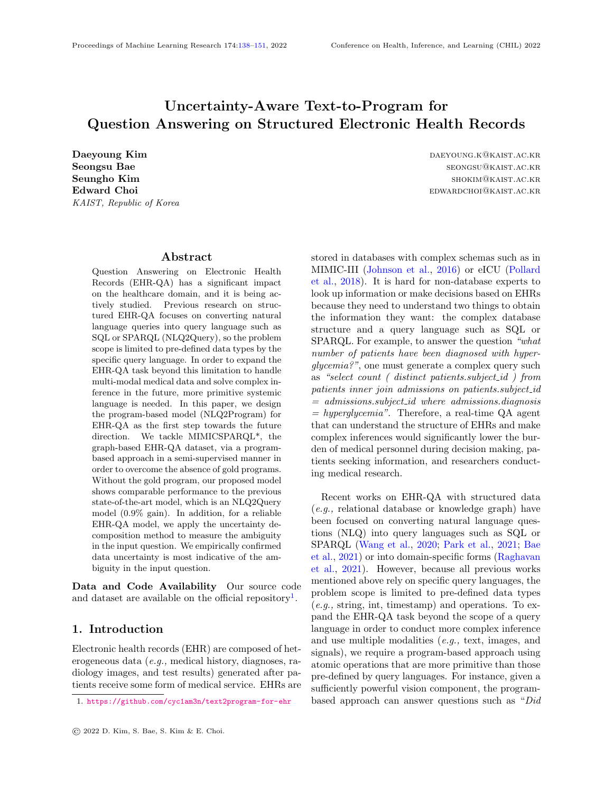recognition. In Proceedings of the IEEE/CVF Conference on Computer Vision and Pattern Recognition, pages 5710–5719, 2020.

- <span id="page-10-10"></span>Armen Der Kiureghian and Ove Ditlevsen. Aleatory or epistemic? does it matter? Structural safety, 31  $(2):105-112, 2009.$
- <span id="page-10-15"></span>Jacob Devlin, Ming-Wei Chang, Kenton Lee, and Kristina Toutanova. Bert: Pre-training of deep bidirectional transformers for language understanding. arXiv preprint arXiv:1810.04805, 2018.
- <span id="page-10-4"></span>Michael W Dusenberry, Dustin Tran, Edward Choi, Jonas Kemp, Jeremy Nixon, Ghassen Jerfel, Katherine Heller, and Andrew M Dai. Analyzing the role of model uncertainty for electronic health records. In Proceedings of the ACM Conference on Health, Inference, and Learning, pages 204–213, 2020.
- <span id="page-10-7"></span>Yuncheng Hua, Yuan-Fang Li, Guilin Qi, Wei Wu, Jingyao Zhang, and Daiqing Qi. Less is more: Data-efficient complex question answering over knowledge bases. Journal of Web Semantics, 65: 100612, 2020.
- <span id="page-10-0"></span>Alistair EW Johnson, Tom J Pollard, Lu Shen, H Lehman Li-Wei, Mengling Feng, Mohammad Ghassemi, Benjamin Moody, Peter Szolovits, Leo Anthony Celi, and Roger G Mark. Mimic-iii, a freely accessible critical care database. Scientific data,  $3(1):1-9$ ,  $2016$ .
- <span id="page-10-11"></span>Alex Kendall and Yarin Gal. What uncertainties do we need in bayesian deep learning for computer vision? Advances in neural information processing systems, 30, 2017.
- <span id="page-10-9"></span>Balaji Lakshminarayanan, Alexander Pritzel, and Charles Blundell. Simple and scalable predictive uncertainty estimation using deep ensembles. Advances in neural information processing systems, 30, 2017.
- <span id="page-10-6"></span>Chen Liang, Jonathan Berant, Quoc Le, Kenneth Forbus, and Ni Lao. Neural symbolic machines: Learning semantic parsers on freebase with weak supervision. In Proceedings of the 55th Annual Meeting of the Association for Computational Linguistics (Volume 1: Long Papers), pages 23–33, 2017.
- <span id="page-10-16"></span>Chin-Yew Lin. Rouge: A package for automatic evaluation of summaries. In Text summarization branches out, pages 74–81, 2004.
- <span id="page-10-14"></span>Minh-Thang Luong, Hieu Pham, and Christopher D Manning. Effective approaches to attention-based neural machine translation. In Proceedings of the 2015 Conference on Empirical Methods in Natural Language Processing, pages 1412–1421, 2015.
- <span id="page-10-12"></span>Andrey Malinin and Mark Gales. Uncertainty estimation in autoregressive structured prediction. In International Conference on Learning Representations, 2020.
- <span id="page-10-8"></span>Myle Ott, Michael Auli, David Grangier, and Marc'Aurelio Ranzato. Analyzing uncertainty in neural machine translation. In International Conference on Machine Learning, pages 3956–3965. PMLR, 2018.
- <span id="page-10-5"></span>Anusri Pampari, Preethi Raghavan, Jennifer Liang, and Jian Peng. emrqa: A large corpus for question answering on electronic medical records. In Proceedings of the 2018 Conference on Empirical Methods in Natural Language Processing, pages 2357–2368, 2018.
- <span id="page-10-2"></span>Junwoo Park, Youngwoo Cho, Haneol Lee, Jaegul Choo, and Edward Choi. Knowledge graph-based question answering with electronic health records. In Machine Learning for Healthcare Conference, pages 36–53. PMLR, 2021.
- <span id="page-10-1"></span>Tom J Pollard, Alistair EW Johnson, Jesse D Raffa, Leo A Celi, Roger G Mark, and Omar Badawi. The eicu collaborative research database, a freely available multi-center database for critical care research. Scientific data, 5(1):1-13, 2018.
- <span id="page-10-13"></span>Colin Raffel, Noam Shazeer, Adam Roberts, Katherine Lee, Sharan Narang, Michael Matena, Yanqi Zhou, Wei Li, and Peter J Liu. Exploring the limits of transfer learning with a unified text-totext transformer. Journal of Machine Learning Research, 21:1–67, 2020.
- <span id="page-10-3"></span>Preethi Raghavan, Jennifer J Liang, Diwakar Mahajan, Rachita Chandra, and Peter Szolovits. emrkbqa: A clinical knowledge-base question answering dataset. In Proceedings of the 20th Workshop on Biomedical Language Processing, pages 64–73, 2021.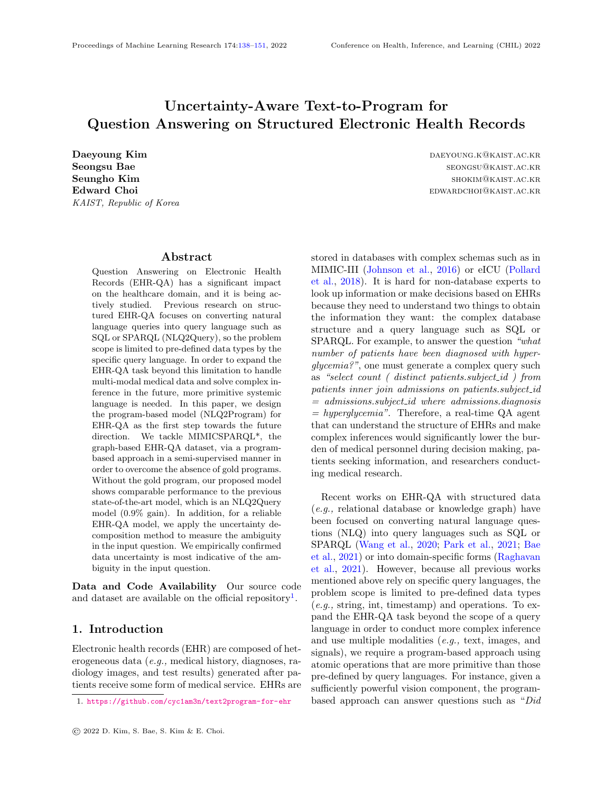- <span id="page-11-3"></span>Amrita Saha, Vardaan Pahuja, Mitesh M Khapra, Karthik Sankaranarayanan, and Sarath Chandar. Complex sequential question answering: Towards learning to converse over linked question answer pairs with a knowledge graph. In Thirty-Second AAAI Conference on Artificial Intelligence, 2018.
- <span id="page-11-2"></span>Amrita Saha, Ghulam Ahmed Ansari, Abhishek Laddha, Karthik Sankaranarayanan, and Soumen Chakrabarti. Complex program induction for querying knowledge bases in the absence of gold programs. Transactions of the Association for Computational Linguistics, 7:185–200, 2019.
- <span id="page-11-1"></span>Simon Suster and Walter Daelemans. Clicr: a dataset of clinical case reports for machine reading comprehension. In Proceedings of the 2018 Conference of the North American Chapter of the Association for Computational Linguistics: Human Language Technologies, Volume 1 (Long Papers), pages 1551–1563, 2018.
- <span id="page-11-0"></span>Ping Wang, Tian Shi, and Chandan K Reddy. Textto-sql generation for question answering on electronic medical records. In Proceedings of The Web Conference 2020, pages 350–361, 2020.
- <span id="page-11-7"></span>Sam Wiseman and Alexander M Rush. Sequenceto-sequence learning as beam-search optimization. In Proceedings of the 2016 Conference on Empirical Methods in Natural Language Processing, pages 1296–1306, 2016.
- <span id="page-11-6"></span>Yijun Xiao and William Yang Wang. On hallucination and predictive uncertainty in conditional language generation. In Proceedings of the 16th Conference of the European Chapter of the Association for Computational Linguistics: Main Volume, pages 2734–2744, 2021.
- <span id="page-11-5"></span>Jiacheng Xu, Shrey Desai, and Greg Durrett. Understanding neural abstractive summarization models via uncertainty. In Proceedings of the 2020 Conference on Empirical Methods in Natural Language Processing (EMNLP), pages 6275–6281, 2020.
- <span id="page-11-4"></span>Scott Wen-tau Yih, Ming-Wei Chang, Xiaodong He, and Jianfeng Gao. Semantic parsing via staged query graph generation: Question answering with knowledge base. In Proceedings of the Joint Conference of the 53rd Annual Meeting of the ACL and the 7th International Joint Conference on Natural Language Processing of the AFNLP, 2015.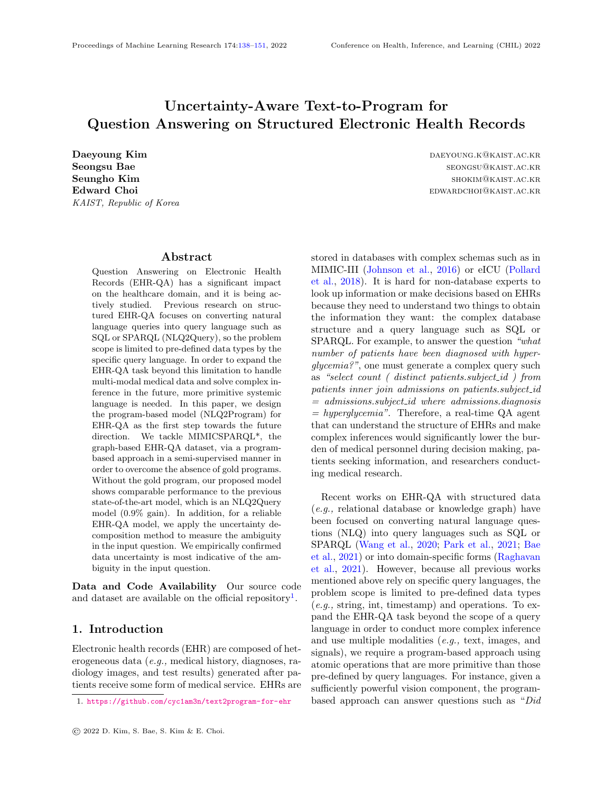# <span id="page-12-0"></span>Appendix A. Details for Synthetic Data Generation

Based on our preliminary analysis of the templatebased questions in the MIMICSPARQL\* machinegenerated train dataset, we found there are eight basic templates as follows:

- what is *RELATION* of *ENTITY*?
- what is RELATION1 and RELATION2 of EN-TITY ?
- what is RELATION1 of RELATION2 VALUE?
- what is *RELATION1* and *RELATION2* of *RE*-LATION3 VALUE?
- what is the number of ENTITY whose RELA-TION CONDITION LITERAL?
- what is the number of ENTITY whose RELA-TION1 CONDITION1 LITERAL1 and RELA-TION2 CONDITION2 LITERAL2?
- what is *AGGR RELATION1* of *ENTITY* whose RELATION2 CONDITION LITERAL?
- what is *AGGR RELATION1* of *ENTITY* whose RELATION2 CONDITION1 LITERAL1 and RELATION3 CONDITION2 LITERAL2?

where *CONDITION* corresponds to  $=, >, <,$ and AGGR represents min, max, and average. For each template, we composed the operation set to be executed. When we generate the synthetic question and corresponding synthetic program, the operation and corresponding argument to be selected for each step are arbitrarily determined. Note that this simple technique is available for other KGs.

### <span id="page-12-2"></span>Appendix B. Implementation Details

We implement our model and baseline models with PyTorch Lightning  $5$  and HuggingFace's transform-ers<sup>[6](#page-12-5)</sup>. In the case of TREQS and NS-CQA, we utilized the official code<sup>[7](#page-12-6)[8](#page-12-7)</sup> written by the origin authors. Also in the case of UniQA, we manually implement model followed by descriptions in [Bae et al.](#page-9-0) [\(2021\)](#page-9-0) since the official codes are not publicly available.

#### B.1. Hyperparameters

In order to make an accurate comparison with the baseline models, the Seq2Seq model and TREQS model were imported from [Park et al.](#page-10-2) [\(2021\)](#page-10-2), and hyperparameters were also imported with the same value. We trained our models on the following GPU environment: NVIDIA GeForce RTX-3090. Also, torch version is 1.7.0, and CUDA version is 11.1. Other hyperparameters are presented in Table [4.](#page-13-1)

# <span id="page-12-1"></span>Appendix C. Performance Variance by Pre-trained Model

In Section [3.4,](#page-3-3) we introduced our synthetic data generation method via preliminary analysis of templatebased questions in MIMICSPARQL\* training set, and generated 168,574 synthetic question-program pairs. With this large volume of pairs, we can utilize them as source data for further pre-training a model to improve its final performance. Therefore, we investigate the utility of synthetic pairs for pre-training with three different types of models. As shown in Table [5,](#page-13-2) we can observe that three models, first initialized with BERT, improve after further pre-training with synthetic pairs. However, our synthetic data cannot give performance gain because T5 is originally pre-trained with massive data so that our synthetic data cannot give model performance gain with the same quality as the original corpus of T5-base.

# <span id="page-12-3"></span>Appendix D. Token-level vs. Program-level Uncertainty Measuring

We conduct the additional experiment to compare the token-level uncertainty measuring method with the program-level uncertainty measuring method. Following [Malinin and Gales](#page-10-12) [\(2020\)](#page-10-12), we utilize the import weighting method using all beam hypotheses. We use the normalizing factor for import weighting as 1 followed by the original paper. We denote the data uncertainty, the model uncertainty, and the total uncertainty in the program-level as  $U_{data}$ ,  $U_{model}$ , and  $U_{total}$  respectively. Specially,  $U_{data}$  is obtained by subtract  $U_{model}$  from  $U_{total}$ . The result shows that the token-level uncertainty measuring method is more effective than program-level when detecting ambiguous questions. As we mentioned in Section [3.6,](#page-5-0) we speculate uncertainty only increases at the missing information part as shown in Section [4.4.](#page-8-2) In addition,

<span id="page-12-4"></span><sup>5.</sup> <https://www.pytorchlightning.ai>

<span id="page-12-5"></span><sup>6.</sup> <https://huggingface.co/transformers/>

<span id="page-12-6"></span><sup>7.</sup> <https://github.com/wangpinggl/TREQS>

<span id="page-12-7"></span><sup>8.</sup> <https://github.com/DevinJake/NS-CQA/>